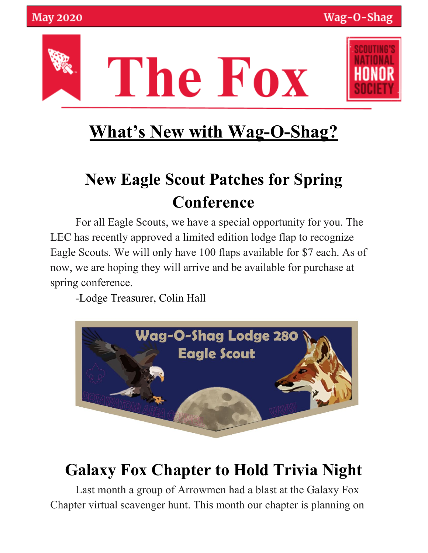



# **What's New with Wag-O-Shag?**

# **New Eagle Scout Patches for Spring Conference**

For all Eagle Scouts, we have a special opportunity for you. The LEC has recently approved a limited edition lodge flap to recognize Eagle Scouts. We will only have 100 flaps available for \$7 each. As of now, we are hoping they will arrive and be available for purchase at spring conference.

-Lodge Treasurer, Colin Hall



## **Galaxy Fox Chapter to Hold Trivia Night**

Last month a group of Arrowmen had a blast at the Galaxy Fox Chapter virtual scavenger hunt. This month our chapter is planning on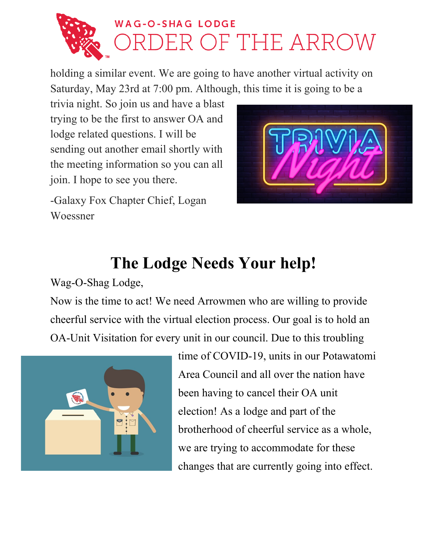

holding a similar event. We are going to have another virtual activity on Saturday, May 23rd at 7:00 pm. Although, this time it is going to be a

trivia night. So join us and have a blast trying to be the first to answer OA and lodge related questions. I will be sending out another email shortly with the meeting information so you can all join. I hope to see you there.

-Galaxy Fox Chapter Chief, Logan Woessner



### **The Lodge Needs Your help!**

Wag-O-Shag Lodge,

Now is the time to act! We need Arrowmen who are willing to provide cheerful service with the virtual election process. Our goal is to hold an OA-Unit Visitation for every unit in our council. Due to this troubling



time of COVID-19, units in our Potawatomi Area Council and all over the nation have been having to cancel their OA unit election! As a lodge and part of the brotherhood of cheerful service as a whole, we are trying to accommodate for these changes that are currently going into effect.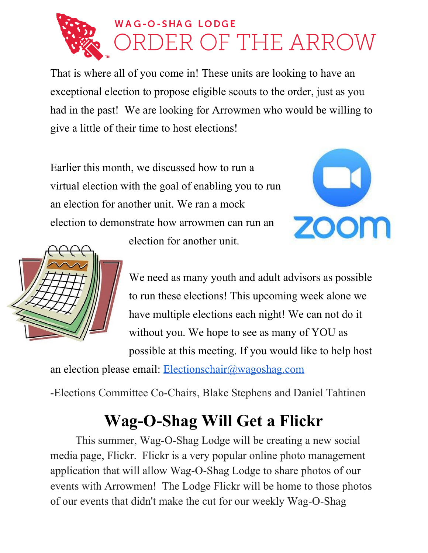

That is where all of you come in! These units are looking to have an exceptional election to propose eligible scouts to the order, just as you had in the past! We are looking for Arrowmen who would be willing to give a little of their time to host elections!

Earlier this month, we discussed how to run a virtual election with the goal of enabling you to run an election for another unit. We ran a mock election to demonstrate how arrowmen can run an election for another unit.





We need as many youth and adult advisors as possible to run these elections! This upcoming week alone we have multiple elections each night! We can not do it without you. We hope to see as many of YOU as possible at this meeting. If you would like to help host

an election please email: [Electionschair@wagoshag.com](mailto:Electionschair@wagoshag.com)

-Elections Committee Co-Chairs, Blake Stephens and Daniel Tahtinen

## **Wag-O-Shag Will Get a Flickr**

This summer, Wag-O-Shag Lodge will be creating a new social media page, Flickr. Flickr is a very popular online photo management application that will allow Wag-O-Shag Lodge to share photos of our events with Arrowmen! The Lodge Flickr will be home to those photos of our events that didn't make the cut for our weekly Wag-O-Shag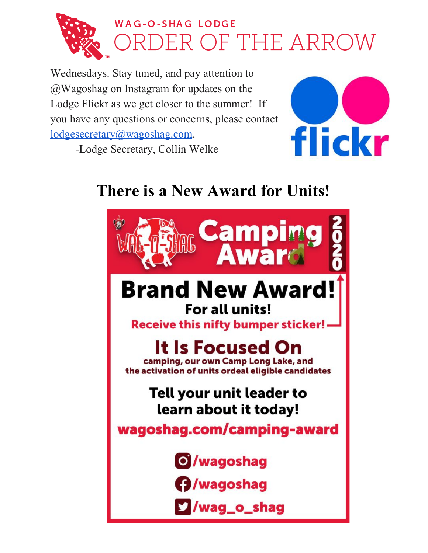

## **WAG-O-SHAG LODGE** OF THE ARROW

Wednesdays. Stay tuned, and pay attention to @Wagoshag on Instagram for updates on the Lodge Flickr as we get closer to the summer! If you have any questions or concerns, please contact [lodgesecretary@wagoshag.com](mailto:lodgesecretary@wagoshag.com).



-Lodge Secretary, Collin Welke

### **There is a New Award for Units!**

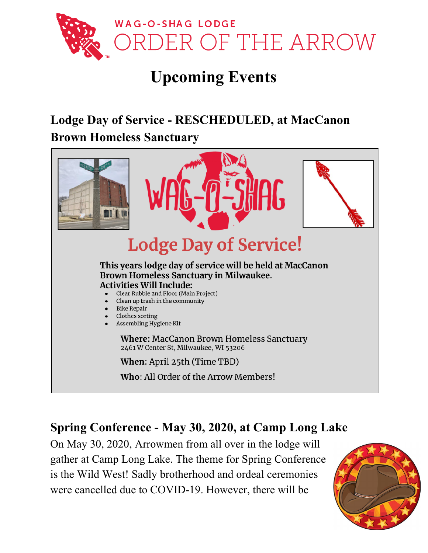

### **Upcoming Events**

#### **Lodge Day of Service - RESCHEDULED, at MacCanon Brown Homeless Sanctuary**



#### **Spring Conference - May 30, 2020, at Camp Long Lake**

On May 30, 2020, Arrowmen from all over in the lodge will gather at Camp Long Lake. The theme for Spring Conference is the Wild West! Sadly brotherhood and ordeal ceremonies were cancelled due to COVID-19. However, there will be

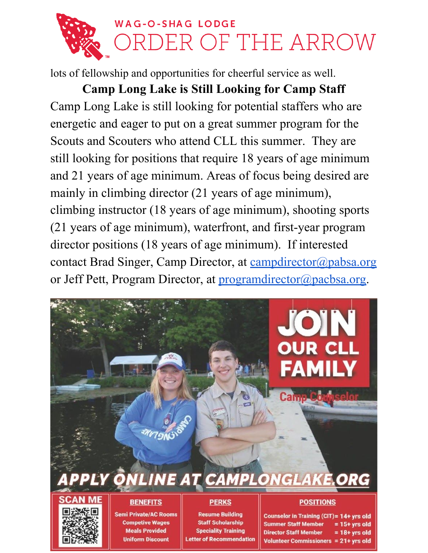

lots of fellowship and opportunities for cheerful service as well.

**Camp Long Lake is Still Looking for Camp Staff** Camp Long Lake is still looking for potential staffers who are energetic and eager to put on a great summer program for the Scouts and Scouters who attend CLL this summer. They are still looking for positions that require 18 years of age minimum and 21 years of age minimum. Areas of focus being desired are mainly in climbing director (21 years of age minimum), climbing instructor (18 years of age minimum), shooting sports (21 years of age minimum), waterfront, and first-year program director positions (18 years of age minimum). If interested contact Brad Singer, Camp Director, at [campdirector@pabsa.org](mailto:campdirector@pabsa.org) or Jeff Pett, Program Director, at [programdirector@pacbsa.org.](mailto:programdirector@pacbsa.org)